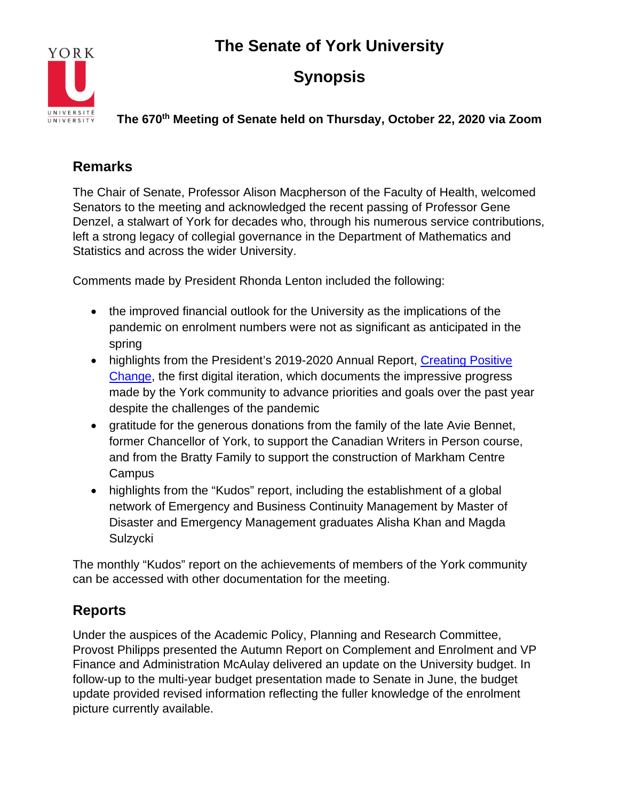

## **Synopsis**

**The 670th Meeting of Senate held on Thursday, October 22, 2020 via Zoom**

### **Remarks**

The Chair of Senate, Professor Alison Macpherson of the Faculty of Health, welcomed Senators to the meeting and acknowledged the recent passing of Professor Gene Denzel, a stalwart of York for decades who, through his numerous service contributions, left a strong legacy of collegial governance in the Department of Mathematics and Statistics and across the wider University.

Comments made by President Rhonda Lenton included the following:

- the improved financial outlook for the University as the implications of the pandemic on enrolment numbers were not as significant as anticipated in the spring
- highlights from the President's 2019-2020 Annual Report, Creating Positive [Change,](https://www.yorku.ca/presidentsreport2020/) the first digital iteration, which documents the impressive progress made by the York community to advance priorities and goals over the past year despite the challenges of the pandemic
- gratitude for the generous donations from the family of the late Avie Bennet, former Chancellor of York, to support the Canadian Writers in Person course, and from the Bratty Family to support the construction of Markham Centre **Campus**
- highlights from the "Kudos" report, including the establishment of a global network of Emergency and Business Continuity Management by Master of Disaster and Emergency Management graduates Alisha Khan and Magda Sulzycki

The monthly "Kudos" report on the achievements of members of the York community can be accessed with other documentation for the meeting.

### **Reports**

Under the auspices of the Academic Policy, Planning and Research Committee, Provost Philipps presented the Autumn Report on Complement and Enrolment and VP Finance and Administration McAulay delivered an update on the University budget. In follow-up to the multi-year budget presentation made to Senate in June, the budget update provided revised information reflecting the fuller knowledge of the enrolment picture currently available.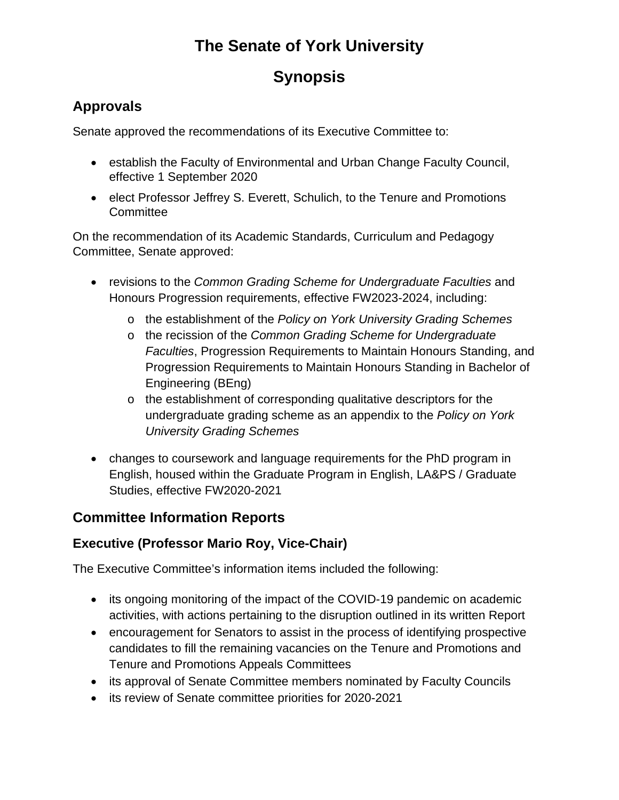## **Synopsis**

### **Approvals**

Senate approved the recommendations of its Executive Committee to:

- establish the Faculty of Environmental and Urban Change Faculty Council, effective 1 September 2020
- elect Professor Jeffrey S. Everett, Schulich, to the Tenure and Promotions **Committee**

On the recommendation of its Academic Standards, Curriculum and Pedagogy Committee, Senate approved:

- revisions to the *Common Grading Scheme for Undergraduate Faculties* and Honours Progression requirements, effective FW2023-2024, including:
	- o the establishment of the *Policy on York University Grading Schemes*
	- o the recission of the *Common Grading Scheme for Undergraduate Faculties*, Progression Requirements to Maintain Honours Standing, and Progression Requirements to Maintain Honours Standing in Bachelor of Engineering (BEng)
	- o the establishment of corresponding qualitative descriptors for the undergraduate grading scheme as an appendix to the *Policy on York University Grading Schemes*
- changes to coursework and language requirements for the PhD program in English, housed within the Graduate Program in English, LA&PS / Graduate Studies, effective FW2020-2021

### **Committee Information Reports**

#### **Executive (Professor Mario Roy, Vice-Chair)**

The Executive Committee's information items included the following:

- its ongoing monitoring of the impact of the COVID-19 pandemic on academic activities, with actions pertaining to the disruption outlined in its written Report
- encouragement for Senators to assist in the process of identifying prospective candidates to fill the remaining vacancies on the Tenure and Promotions and Tenure and Promotions Appeals Committees
- its approval of Senate Committee members nominated by Faculty Councils
- its review of Senate committee priorities for 2020-2021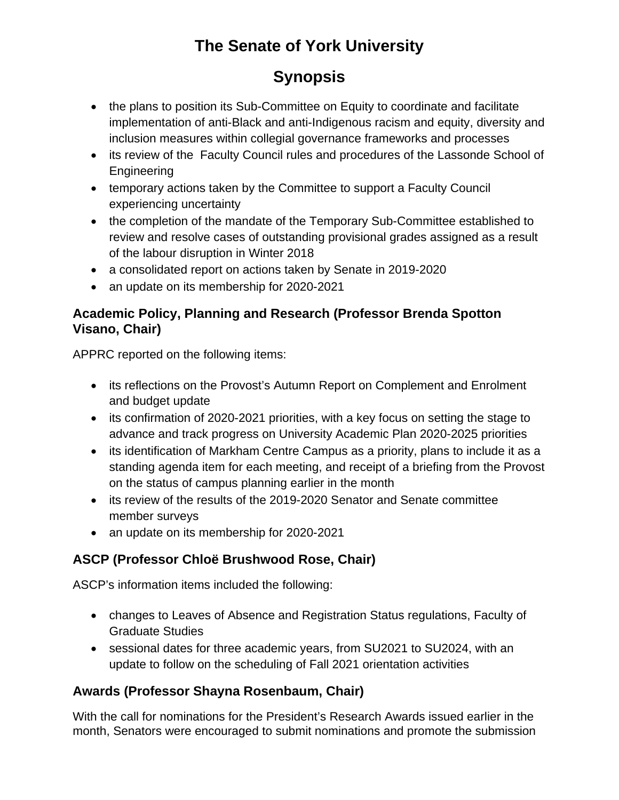## **Synopsis**

- the plans to position its Sub-Committee on Equity to coordinate and facilitate implementation of anti-Black and anti-Indigenous racism and equity, diversity and inclusion measures within collegial governance frameworks and processes
- its review of the Faculty Council rules and procedures of the Lassonde School of Engineering
- temporary actions taken by the Committee to support a Faculty Council experiencing uncertainty
- the completion of the mandate of the Temporary Sub-Committee established to review and resolve cases of outstanding provisional grades assigned as a result of the labour disruption in Winter 2018
- a consolidated report on actions taken by Senate in 2019-2020
- an update on its membership for 2020-2021

#### **Academic Policy, Planning and Research (Professor Brenda Spotton Visano, Chair)**

APPRC reported on the following items:

- its reflections on the Provost's Autumn Report on Complement and Enrolment and budget update
- its confirmation of 2020-2021 priorities, with a key focus on setting the stage to advance and track progress on University Academic Plan 2020-2025 priorities
- its identification of Markham Centre Campus as a priority, plans to include it as a standing agenda item for each meeting, and receipt of a briefing from the Provost on the status of campus planning earlier in the month
- its review of the results of the 2019-2020 Senator and Senate committee member surveys
- an update on its membership for 2020-2021

### **ASCP (Professor Chloë Brushwood Rose, Chair)**

ASCP's information items included the following:

- changes to Leaves of Absence and Registration Status regulations, Faculty of Graduate Studies
- sessional dates for three academic years, from SU2021 to SU2024, with an update to follow on the scheduling of Fall 2021 orientation activities

### **Awards (Professor Shayna Rosenbaum, Chair)**

With the call for nominations for the President's Research Awards issued earlier in the month, Senators were encouraged to submit nominations and promote the submission